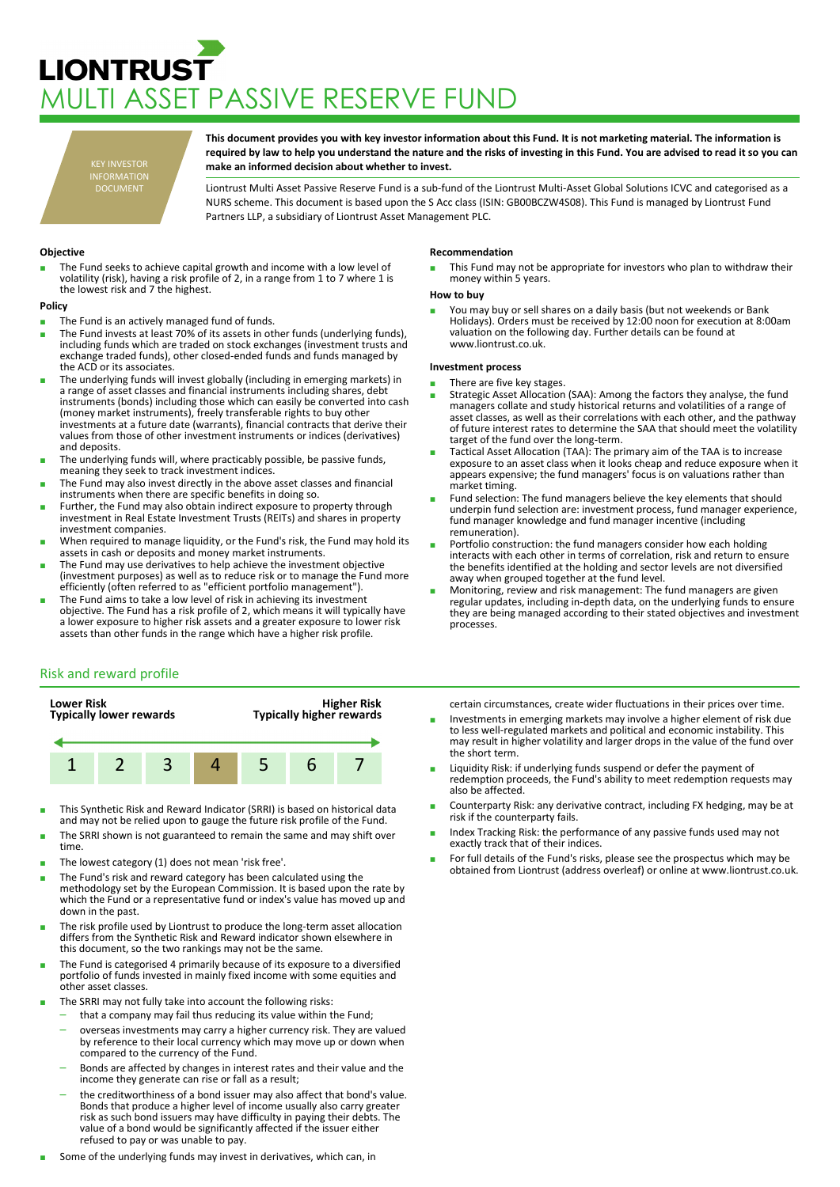# **LIONTRUST** MULTI ASSET PASSIVE RESERVE FUND

KEY INVESTOR INFORMATION DOCUMENT

**This document provides you with key investor information about this Fund. It is not marketing material. The information is required by law to help you understand the nature and the risks of investing in this Fund. You are advised to read it so you can make an informed decision about whether to invest.**

Liontrust Multi Asset Passive Reserve Fund is a sub-fund of the Liontrust Multi-Asset Global Solutions ICVC and categorised as a NURS scheme. This document is based upon the S Acc class (ISIN: GB00BCZW4S08). This Fund is managed by Liontrust Fund Partners LLP, a subsidiary of Liontrust Asset Management PLC.

# **Objective**

The Fund seeks to achieve capital growth and income with a low level of volatility (risk), having a risk profile of 2, in a range from 1 to 7 where 1 is the lowest risk and 7 the highest.

## **Policy**

- The Fund is an actively managed fund of funds.
- The Fund invests at least 70% of its assets in other funds (underlying funds), including funds which are traded on stock exchanges (investment trusts and exchange traded funds), other closed-ended funds and funds managed by the ACD or its associates.
- The underlying funds will invest globally (including in emerging markets) in a range of asset classes and financial instruments including shares, debt instruments (bonds) including those which can easily be converted into cash (money market instruments), freely transferable rights to buy other investments at a future date (warrants), financial contracts that derive their values from those of other investment instruments or indices (derivatives) and deposits.
- The underlying funds will, where practicably possible, be passive funds, meaning they seek to track investment indices.
- The Fund may also invest directly in the above asset classes and financial instruments when there are specific benefits in doing so.
- Further, the Fund may also obtain indirect exposure to property through investment in Real Estate Investment Trusts (REITs) and shares in property investment companies.
- When required to manage liquidity, or the Fund's risk, the Fund may hold its assets in cash or deposits and money market instruments.
- The Fund may use derivatives to help achieve the investment objective (investment purposes) as well as to reduce risk or to manage the Fund more efficiently (often referred to as "efficient portfolio management").
- The Fund aims to take a low level of risk in achieving its investment objective. The Fund has a risk profile of 2, which means it will typically have a lower exposure to higher risk assets and a greater exposure to lower risk assets than other funds in the range which have a higher risk profile.

### **Recommendation**

This Fund may not be appropriate for investors who plan to withdraw their money within 5 years.

### **How to buy**

■ You may buy or sell shares on a daily basis (but not weekends or Bank<br>Holidays). Orders must be received by 12:00 noon for execution at 8:00am valuation on the following day. Further details can be found at www.liontrust.co.uk.

## **Investment process**

- There are five key stages.
- Strategic Asset Allocation (SAA): Among the factors they analyse, the fund managers collate and study historical returns and volatilities of a range of asset classes, as well as their correlations with each other, and the pathway of future interest rates to determine the SAA that should meet the volatility target of the fund over the long-term.
- Tactical Asset Allocation (TAA): The primary aim of the TAA is to increase exposure to an asset class when it looks cheap and reduce exposure when it appears expensive; the fund managers' focus is on valuations rather than market timing.
- Fund selection: The fund managers believe the key elements that should underpin fund selection are: investment process, fund manager experience, fund manager knowledge and fund manager incentive (including remuneration).
- Portfolio construction: the fund managers consider how each holding interacts with each other in terms of correlation, risk and return to ensure the benefits identified at the holding and sector levels are not diversified away when grouped together at the fund level.
- Monitoring, review and risk management: The fund managers are given regular updates, including in-depth data, on the underlying funds to ensure they are being managed according to their stated objectives and investment processes.

# Risk and reward profile



- This Synthetic Risk and Reward Indicator (SRRI) is based on historical data and may not be relied upon to gauge the future risk profile of the Fund.
- The SRRI shown is not guaranteed to remain the same and may shift over time.
- The lowest category (1) does not mean 'risk free'.
- The Fund's risk and reward category has been calculated using the methodology set by the European Commission. It is based upon the rate by which the Fund or a representative fund or index's value has moved up and down in the past.
- The risk profile used by Liontrust to produce the long-term asset allocation differs from the Synthetic Risk and Reward indicator shown elsewhere in this document, so the two rankings may not be the same.
- The Fund is categorised 4 primarily because of its exposure to a diversified portfolio of funds invested in mainly fixed income with some equities and other asset classes.
- The SRRI may not fully take into account the following risks:
	- that a company may fail thus reducing its value within the Fund;
	- overseas investments may carry a higher currency risk. They are valued by reference to their local currency which may move up or down when compared to the currency of the Fund.
	- Bonds are affected by changes in interest rates and their value and the income they generate can rise or fall as a result;
	- the creditworthiness of a bond issuer may also affect that bond's value. Bonds that produce a higher level of income usually also carry greater risk as such bond issuers may have difficulty in paying their debts. The value of a bond would be significantly affected if the issuer either refused to pay or was unable to pay.
- Some of the underlying funds may invest in derivatives, which can, in

certain circumstances, create wider fluctuations in their prices over time.

- Investments in emerging markets may involve a higher element of risk due to less well-regulated markets and political and economic instability. This may result in higher volatility and larger drops in the value of the fund over the short term.
- Liquidity Risk: if underlying funds suspend or defer the payment of redemption proceeds, the Fund's ability to meet redemption requests may also be affected.
- Counterparty Risk: any derivative contract, including FX hedging, may be at risk if the counterparty fails.
- Index Tracking Risk: the performance of any passive funds used may not exactly track that of their indices.
- For full details of the Fund's risks, please see the prospectus which may be obtained from Liontrust (address overleaf) or online at www.liontrust.co.uk.